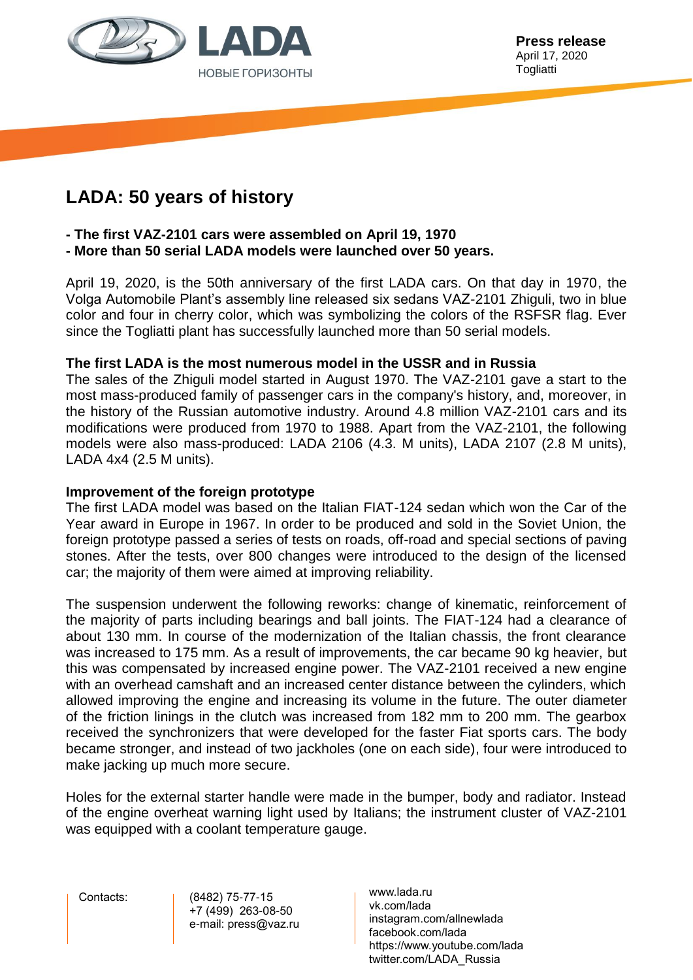

# **LADA: 50 years of history**

# **- The first VAZ-2101 cars were assembled on April 19, 1970**

**- More than 50 serial LADA models were launched over 50 years.**

April 19, 2020, is the 50th anniversary of the first LADA cars. On that day in 1970, the Volga Automobile Plant's assembly line released six sedans VAZ-2101 Zhiguli, two in blue color and four in cherry color, which was symbolizing the colors of the RSFSR flag. Ever since the Togliatti plant has successfully launched more than 50 serial models.

## **The first LADA is the most numerous model in the USSR and in Russia**

The sales of the Zhiguli model started in August 1970. The VAZ-2101 gave a start to the most mass-produced family of passenger cars in the company's history, and, moreover, in the history of the Russian automotive industry. Around 4.8 million VAZ-2101 cars and its modifications were produced from 1970 to 1988. Apart from the VAZ-2101, the following models were also mass-produced: LADA 2106 (4.3. M units), LADA 2107 (2.8 M units), LADA 4x4 (2.5 M units).

#### **Improvement of the foreign prototype**

The first LADA model was based on the Italian FIAT-124 sedan which won the Car of the Year award in Europe in 1967. In order to be produced and sold in the Soviet Union, the foreign prototype passed a series of tests on roads, off-road and special sections of paving stones. After the tests, over 800 changes were introduced to the design of the licensed car; the majority of them were aimed at improving reliability.

The suspension underwent the following reworks: change of kinematic, reinforcement of the majority of parts including bearings and ball joints. The FIAT-124 had a clearance of about 130 mm. In course of the modernization of the Italian chassis, the front clearance was increased to 175 mm. As a result of improvements, the car became 90 kg heavier, but this was compensated by increased engine power. The VAZ-2101 received a new engine with an overhead camshaft and an increased center distance between the cylinders, which allowed improving the engine and increasing its volume in the future. The outer diameter of the friction linings in the clutch was increased from 182 mm to 200 mm. The gearbox received the synchronizers that were developed for the faster Fiat sports cars. The body became stronger, and instead of two jackholes (one on each side), four were introduced to make jacking up much more secure.

Holes for the external starter handle were made in the bumper, body and radiator. Instead of the engine overheat warning light used by Italians; the instrument cluster of VAZ-2101 was equipped with a coolant temperature gauge.

 Contacts: (8482) 75-77-15 +7 (499) 263-08-50 e-mail: press@vaz.ru www.lada.ru vk.com/lada instagram.com/allnewlada facebook.com/lada https://www.youtube.com/lada twitter.com/LADA\_Russia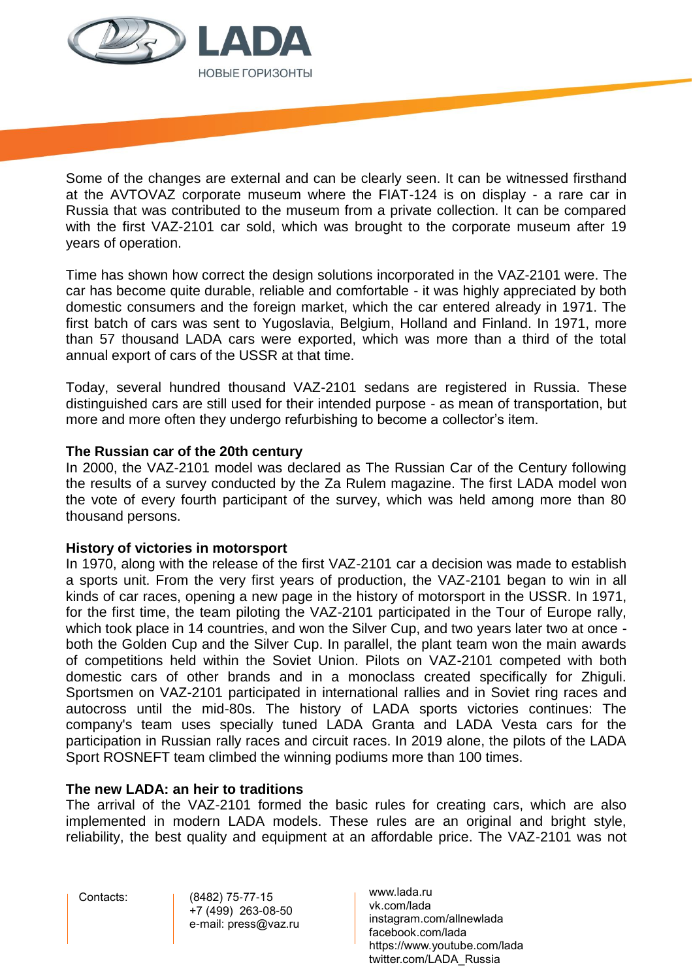

Some of the changes are external and can be clearly seen. It can be witnessed firsthand at the AVTOVAZ corporate museum where the FIAT-124 is on display - a rare car in Russia that was contributed to the museum from a private collection. It can be compared with the first VAZ-2101 car sold, which was brought to the corporate museum after 19 years of operation.

Time has shown how correct the design solutions incorporated in the VAZ-2101 were. The car has become quite durable, reliable and comfortable - it was highly appreciated by both domestic consumers and the foreign market, which the car entered already in 1971. The first batch of cars was sent to Yugoslavia, Belgium, Holland and Finland. In 1971, more than 57 thousand LADA cars were exported, which was more than a third of the total annual export of cars of the USSR at that time.

Today, several hundred thousand VAZ-2101 sedans are registered in Russia. These distinguished cars are still used for their intended purpose - as mean of transportation, but more and more often they undergo refurbishing to become a collector's item.

## **The Russian car of the 20th century**

In 2000, the VAZ-2101 model was declared as The Russian Car of the Century following the results of a survey conducted by the Za Rulem magazine. The first LADA model won the vote of every fourth participant of the survey, which was held among more than 80 thousand persons.

#### **History of victories in motorsport**

In 1970, along with the release of the first VAZ-2101 car a decision was made to establish a sports unit. From the very first years of production, the VAZ-2101 began to win in all kinds of car races, opening a new page in the history of motorsport in the USSR. In 1971, for the first time, the team piloting the VAZ-2101 participated in the Tour of Europe rally, which took place in 14 countries, and won the Silver Cup, and two years later two at once both the Golden Cup and the Silver Cup. In parallel, the plant team won the main awards of competitions held within the Soviet Union. Pilots on VAZ-2101 competed with both domestic cars of other brands and in a monoclass created specifically for Zhiguli. Sportsmen on VAZ-2101 participated in international rallies and in Soviet ring races and autocross until the mid-80s. The history of LADA sports victories continues: The company's team uses specially tuned LADA Granta and LADA Vesta cars for the participation in Russian rally races and circuit races. In 2019 alone, the pilots of the LADA Sport ROSNEFT team climbed the winning podiums more than 100 times.

#### **The new LADA: an heir to traditions**

The arrival of the VAZ-2101 formed the basic rules for creating cars, which are also implemented in modern LADA models. These rules are an original and bright style, reliability, the best quality and equipment at an affordable price. The VAZ-2101 was not

 Contacts: (8482) 75-77-15 +7 (499) 263-08-50 e-mail: press@vaz.ru www.lada.ru vk.com/lada instagram.com/allnewlada facebook.com/lada https://www.youtube.com/lada twitter.com/LADA\_Russia